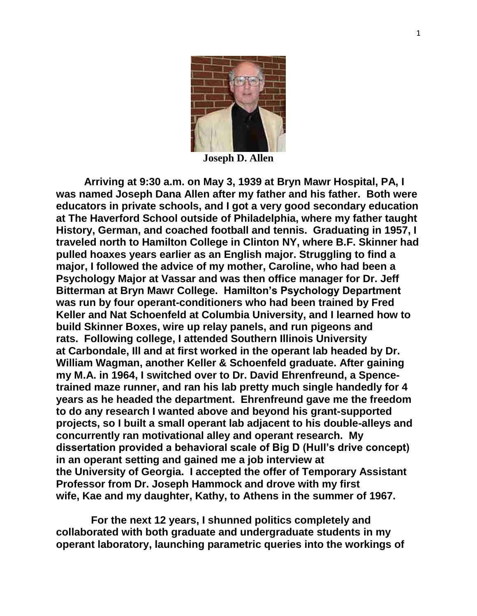

**Joseph D. Allen**

**Arriving at 9:30 a.m. on May 3, 1939 at Bryn Mawr Hospital, PA, I was named Joseph Dana Allen after my father and his father. Both were educators in private schools, and I got a very good secondary education at The Haverford School outside of Philadelphia, where my father taught History, German, and coached football and tennis. Graduating in 1957, I traveled north to Hamilton College in Clinton NY, where B.F. Skinner had pulled hoaxes years earlier as an English major. Struggling to find a major, I followed the advice of my mother, Caroline, who had been a Psychology Major at Vassar and was then office manager for Dr. Jeff Bitterman at Bryn Mawr College. Hamilton's Psychology Department was run by four operant-conditioners who had been trained by Fred Keller and Nat Schoenfeld at Columbia University, and I learned how to build Skinner Boxes, wire up relay panels, and run pigeons and rats. Following college, I attended Southern Illinois University at Carbondale, Ill and at first worked in the operant lab headed by Dr. William Wagman, another Keller & Schoenfeld graduate. After gaining my M.A. in 1964, I switched over to Dr. David Ehrenfreund, a Spencetrained maze runner, and ran his lab pretty much single handedly for 4 years as he headed the department. Ehrenfreund gave me the freedom to do any research I wanted above and beyond his grant-supported projects, so I built a small operant lab adjacent to his double-alleys and concurrently ran motivational alley and operant research. My dissertation provided a behavioral scale of Big D (Hull's drive concept) in an operant setting and gained me a job interview at the University of Georgia. I accepted the offer of Temporary Assistant Professor from Dr. Joseph Hammock and drove with my first wife, Kae and my daughter, Kathy, to Athens in the summer of 1967.**

 **For the next 12 years, I shunned politics completely and collaborated with both graduate and undergraduate students in my operant laboratory, launching parametric queries into the workings of**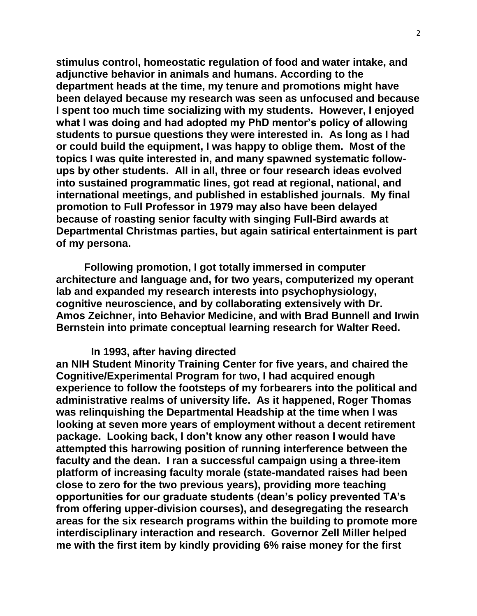**stimulus control, homeostatic regulation of food and water intake, and adjunctive behavior in animals and humans. According to the department heads at the time, my tenure and promotions might have been delayed because my research was seen as unfocused and because I spent too much time socializing with my students. However, I enjoyed what I was doing and had adopted my PhD mentor's policy of allowing students to pursue questions they were interested in. As long as I had or could build the equipment, I was happy to oblige them. Most of the topics I was quite interested in, and many spawned systematic followups by other students. All in all, three or four research ideas evolved into sustained programmatic lines, got read at regional, national, and international meetings, and published in established journals. My final promotion to Full Professor in 1979 may also have been delayed because of roasting senior faculty with singing Full-Bird awards at Departmental Christmas parties, but again satirical entertainment is part of my persona.**

**Following promotion, I got totally immersed in computer architecture and language and, for two years, computerized my operant lab and expanded my research interests into psychophysiology, cognitive neuroscience, and by collaborating extensively with Dr. Amos Zeichner, into Behavior Medicine, and with Brad Bunnell and Irwin Bernstein into primate conceptual learning research for Walter Reed.**

## **In 1993, after having directed**

**an NIH Student Minority Training Center for five years, and chaired the Cognitive/Experimental Program for two, I had acquired enough experience to follow the footsteps of my forbearers into the political and administrative realms of university life. As it happened, Roger Thomas was relinquishing the Departmental Headship at the time when I was looking at seven more years of employment without a decent retirement package. Looking back, I don't know any other reason I would have attempted this harrowing position of running interference between the faculty and the dean. I ran a successful campaign using a three-item platform of increasing faculty morale (state-mandated raises had been close to zero for the two previous years), providing more teaching opportunities for our graduate students (dean's policy prevented TA's from offering upper-division courses), and desegregating the research areas for the six research programs within the building to promote more interdisciplinary interaction and research. Governor Zell Miller helped me with the first item by kindly providing 6% raise money for the first**